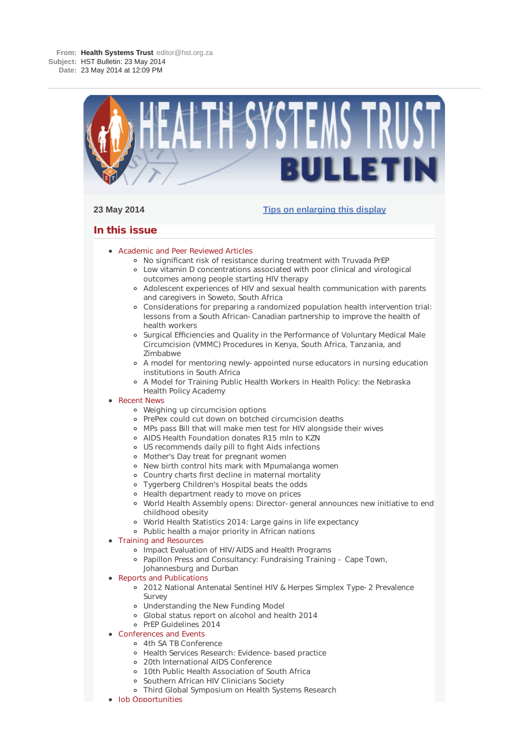

Job Opportunities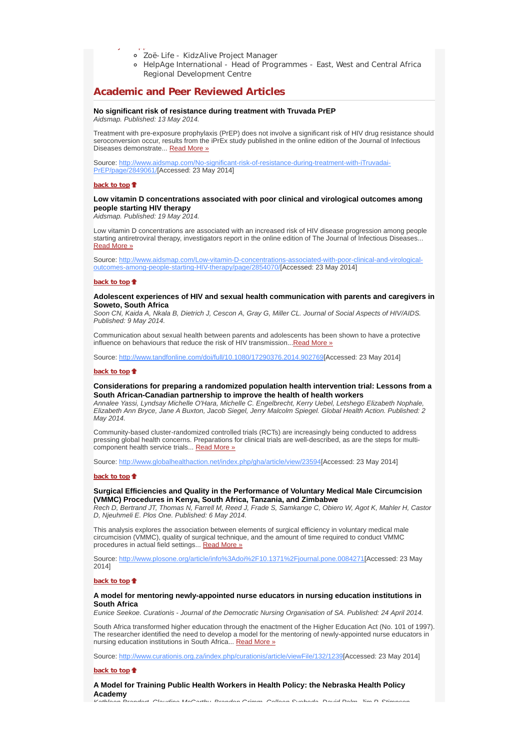- Zoë-Life KidzAlive Project Manager
- HelpAge International Head of Programmes East, West and Central Africa Regional Development Centre

# **Academic and Peer Reviewed Articles**

## **No significant risk of resistance during treatment with Truvada PrEP** *Aidsmap. Published: 13 May 2014.*

Treatment with pre-exposure prophylaxis (PrEP) does not involve a significant risk of HIV drug resistance should seroconversion occur, results from the iPrEx study published in the online edition of the Journal of Infectious

Source: http://www.aidsmap.com/No-significant-risk-of-resistance-during-treatment-with-iTruvadai-PrEP/page/2849061/[Accessed: 23 May 2014]

## **back to top**

J pp

# **Low vitamin D concentrations associated with poor clinical and virological outcomes among people starting HIV therapy**

*Aidsmap. Published: 19 May 2014.*

Diseases demonstrate... Read More »

Low vitamin D concentrations are associated with an increased risk of HIV disease progression among people starting antiretroviral therapy, investigators report in the online edition of The Journal of Infectious Diseases... Read More »

Source: http://www.aidsmap.com/Low-vitamin-D-concentrations-associated-with-poor-clinical-and-virologicaloutcomes-among-people-starting-HIV-therapy/page/2854070/[Accessed: 23 May 2014]

#### **back to top**

#### **Adolescent experiences of HIV and sexual health communication with parents and caregivers in Soweto, South Africa**

*Soon CN, Kaida A, Nkala B, Dietrich J, Cescon A, Gray G, Miller CL. Journal of Social Aspects of HIV/AIDS. Published: 9 May 2014.*

Communication about sexual health between parents and adolescents has been shown to have a protective influence on behaviours that reduce the risk of HIV transmission...Read More »

Source: http://www.tandfonline.com/doi/full/10.1080/17290376.2014.902769[Accessed: 23 May 2014]

#### **back to top**

## **Considerations for preparing a randomized population health intervention trial: Lessons from a South African-Canadian partnership to improve the health of health workers**

*Annalee Yassi, Lyndsay Michelle O'Hara, Michelle C. Engelbrecht, Kerry Uebel, Letshego Elizabeth Nophale, Elizabeth Ann Bryce, Jane A Buxton, Jacob Siegel, Jerry Malcolm Spiegel. Global Health Action. Published: 2 May 2014.*

Community-based cluster-randomized controlled trials (RCTs) are increasingly being conducted to address pressing global health concerns. Preparations for clinical trials are well-described, as are the steps for multicomponent health service trials... Read More »

Source: http://www.globalhealthaction.net/index.php/gha/article/view/23594[Accessed: 23 May 2014]

#### **back to top**

# **Surgical Efficiencies and Quality in the Performance of Voluntary Medical Male Circumcision (VMMC) Procedures in Kenya, South Africa, Tanzania, and Zimbabwe**

*Rech D, Bertrand JT, Thomas N, Farrell M, Reed J, Frade S, Samkange C, Obiero W, Agot K, Mahler H, Castor D, Njeuhmeli E. Plos One. Published: 6 May 2014.*

This analysis explores the association between elements of surgical efficiency in voluntary medical male circumcision (VMMC), quality of surgical technique, and the amount of time required to conduct VMMC procedures in actual field settings... Read More »

Source: http://www.plosone.org/article/info%3Adoi%2F10.1371%2Fjournal.pone.0084271[Accessed: 23 May 2014]

#### **back to top**

#### **A model for mentoring newly-appointed nurse educators in nursing education institutions in South Africa**

*Eunice Seekoe. Curationis - Journal of the Democratic Nursing Organisation of SA. Published: 24 April 2014.*

South Africa transformed higher education through the enactment of the Higher Education Act (No. 101 of 1997). The researcher identified the need to develop a model for the mentoring of newly-appointed nurse educators in nursing education institutions in South Africa... Read More »

Source: http://www.curationis.org.za/index.php/curationis/article/viewFile/132/1239[Accessed: 23 May 2014]

#### **back to top**

# **A Model for Training Public Health Workers in Health Policy: the Nebraska Health Policy Academy**

*Kathleen Brandert Claudine McCarthy Brandon Grimm Colleen Svoboda David Palm Jim P Stimpson*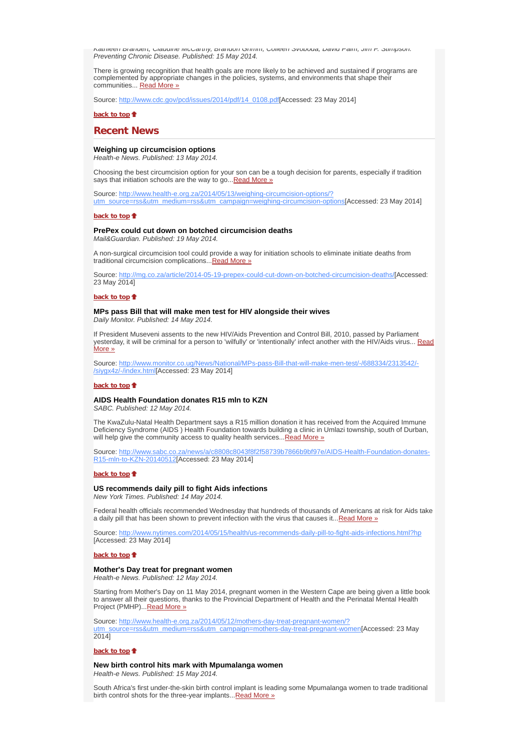*Kathleen Brandert, Claudine McCarthy, Brandon Grimm, Colleen Svoboda, David Palm, Jim P. Stimpson. Preventing Chronic Disease. Published: 15 May 2014.*

There is growing recognition that health goals are more likely to be achieved and sustained if programs are complemented by appropriate changes in the policies, systems, and environments that shape their communities... Read More »

Source: http://www.cdc.gov/pcd/issues/2014/pdf/14\_0108.pdf[Accessed: 23 May 2014]

**back to top**

# **Recent News**

# **Weighing up circumcision options**

*Health-e News. Published: 13 May 2014.*

Choosing the best circumcision option for your son can be a tough decision for parents, especially if tradition says that initiation schools are the way to go... Read More »

Source: http://www.health-e.org.za/2014/05/13/weighing-circumcision-options/? utm\_source=rss&utm\_medium=rss&utm\_campaign=weighing-circumcision-options[Accessed: 23 May 2014]

#### back to top  $\triangle$

# **PrePex could cut down on botched circumcision deaths**

*Mail&Guardian. Published: 19 May 2014.*

A non-surgical circumcision tool could provide a way for initiation schools to eliminate initiate deaths from traditional circumcision complications...Read More »

Source: http://mg.co.za/article/2014-05-19-prepex-could-cut-down-on-botched-circumcision-deaths/[Accessed: 23 May 2014]

#### **back to top**

#### **MPs pass Bill that will make men test for HIV alongside their wives** *Daily Monitor. Published: 14 May 2014.*

If President Museveni assents to the new HIV/Aids Prevention and Control Bill, 2010, passed by Parliament yesterday, it will be criminal for a person to 'wilfully' or 'intentionally' infect another with the HIV/Aids virus... Read More »

Source: http://www.monitor.co.ug/News/National/MPs-pass-Bill-that-will-make-men-test/-/688334/2313542/-/siygx4z/-/index.html[Accessed: 23 May 2014]

## **back to top**

#### **AIDS Health Foundation donates R15 mln to KZN**

*SABC. Published: 12 May 2014.*

The KwaZulu-Natal Health Department says a R15 million donation it has received from the Acquired Immune Deficiency Syndrome (AIDS ) Health Foundation towards building a clinic in Umlazi township, south of Durban, will help give the community access to quality health services... Read More »

Source: http://www.sabc.co.za/news/a/c8808c8043f8f2f58739b7866b9bf97e/AIDS-Health-Foundation-donates-R15-mln-to-KZN-20140512[Accessed: 23 May 2014]

### **back to top**

# **US recommends daily pill to fight Aids infections**

*New York Times. Published: 14 May 2014.*

Federal health officials recommended Wednesday that hundreds of thousands of Americans at risk for Aids take a daily pill that has been shown to prevent infection with the virus that causes it...Read More »

Source: http://www.nytimes.com/2014/05/15/health/us-recommends-daily-pill-to-fight-aids-infections.html?hp [Accessed: 23 May 2014]

#### **back to top**

#### **Mother's Day treat for pregnant women**

*Health-e News. Published: 12 May 2014.*

Starting from Mother's Day on 11 May 2014, pregnant women in the Western Cape are being given a little book to answer all their questions, thanks to the Provincial Department of Health and the Perinatal Mental Health Project (PMHP)...Read More »

Source: http://www.health-e.org.za/2014/05/12/mothers-day-treat-pregnant-women/? source=rss&utm\_medium=rss&utm\_campaign=mothers-day-treat-pregnant-women[Accessed: 23 May 2014]

#### **back to top**

**New birth control hits mark with Mpumalanga women** *Health-e News. Published: 15 May 2014.*

South Africa's first under-the-skin birth control implant is leading some Mpumalanga women to trade traditional birth control shots for the three-year implants... Read More »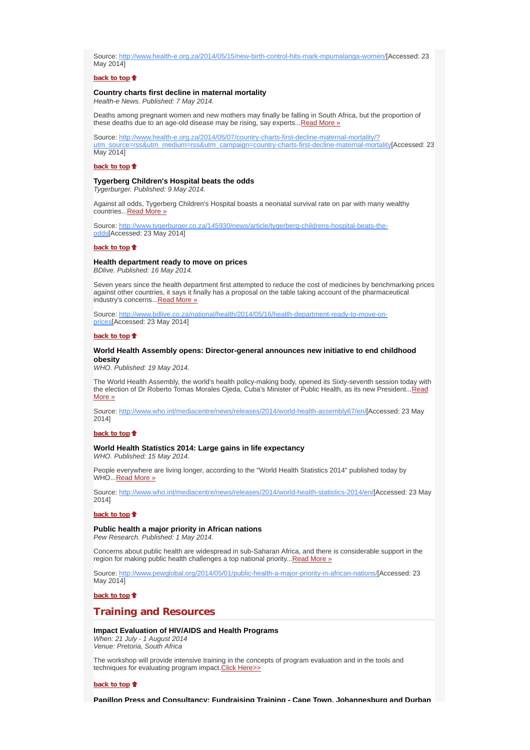Source: http://www.health-e.org.za/2014/05/15/new-birth-control-hits-mark-mpumalanga-women/[Accessed: 23 May 2014]

## **back to top**

## **Country charts first decline in maternal mortality** *Health-e News. Published: 7 May 2014.*

Deaths among pregnant women and new mothers may finally be falling in South Africa, but the proportion of these deaths due to an age-old disease may be rising, say experts... Read More »

Source: http://www.health-e.org.za/2014/05/07/country-charts-first-decline-maternal-mortality/? Fres&utm\_medium=rss&utm\_campaign=country-charts-first-decline-maternal-mortality[Accessed: 23 May 2014]

#### **back to top**

# **Tygerberg Children's Hospital beats the odds**

*Tygerburger. Published: 9 May 2014.*

Against all odds, Tygerberg Children's Hospital boasts a neonatal survival rate on par with many wealthy countries...Read More »

Source: http://www.tygerburger.co.za/145930/news/article/tygerberg-childrens-hospital-beats-theodds[Accessed: 23 May 2014]

### **back to top**

**Health department ready to move on prices** *BDlive. Published: 16 May 2014.*

Seven years since the health department first attempted to reduce the cost of medicines by benchmarking prices against other countries, it says it finally has a proposal on the table taking account of the pharmaceutical industry's concerns...Read More »

Source: http://www.bdlive.co.za/national/health/2014/05/16/health-department-ready-to-move-onprices[Accessed: 23 May 2014]

#### **back to top**

## **World Health Assembly opens: Director-general announces new initiative to end childhood obesity**

*WHO. Published: 19 May 2014.*

The World Health Assembly, the world's health policy-making body, opened its Sixty-seventh session today with the election of Dr Roberto Tomas Morales Ojeda, Cuba's Minister of Public Health, as its new President...Read More »

Source: http://www.who.int/mediacentre/news/releases/2014/world-health-assembly67/en/[Accessed: 23 May 2014]

### **back to top**

## **World Health Statistics 2014: Large gains in life expectancy** *WHO. Published: 15 May 2014.*

People everywhere are living longer, according to the "World Health Statistics 2014" published today by WHO...Read More »

Source: http://www.who.int/mediacentre/news/releases/2014/world-health-statistics-2014/en/[Accessed: 23 May 2014]

#### **back to top**

**Public health a major priority in African nations** *Pew Research. Published: 1 May 2014.*

Concerns about public health are widespread in sub-Saharan Africa, and there is considerable support in the region for making public health challenges a top national priority... Read More »

Source: http://www.pewglobal.org/2014/05/01/public-health-a-major-priority-in-african-nations/[Accessed: 23 May 2014]

**back to top**

# **Training and Resources**

## **Impact Evaluation of HIV/AIDS and Health Programs**

*When: 21 July - 1 August 2014 Venue: Pretoria, South Africa*

The workshop will provide intensive training in the concepts of program evaluation and in the tools and techniques for evaluating program impact.Click Here>>

#### **back to top**

**Papillon Press and Consultancy: Fundraising Training - Cape Town, Johannesburg and Durban**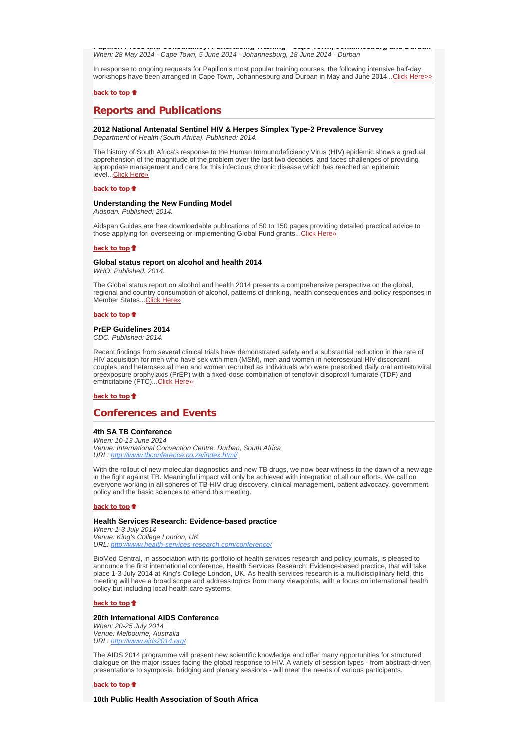**Papillon Press and Consultancy: Fundraising Training Cape Town, Johannesburg and Durban** *When: 28 May 2014 - Cape Town, 5 June 2014 - Johannesburg, 18 June 2014 - Durban* 

In response to ongoing requests for Papillon's most popular training courses, the following intensive half-day workshops have been arranged in Cape Town, Johannesburg and Durban in May and June 2014...Click Here>>

# **back to top**

# **Reports and Publications**

# **2012 National Antenatal Sentinel HIV & Herpes Simplex Type-2 Prevalence Survey**

*Department of Health (South Africa). Published: 2014.*

The history of South Africa's response to the Human Immunodeficiency Virus (HIV) epidemic shows a gradual apprehension of the magnitude of the problem over the last two decades, and faces challenges of providing appropriate management and care for this infectious chronic disease which has reached an epidemic level...Click Here»

**back to top**

## **Understanding the New Funding Model**

*Aidspan. Published: 2014.*

Aidspan Guides are free downloadable publications of 50 to 150 pages providing detailed practical advice to those applying for, overseeing or implementing Global Fund grants... Click Here»

#### **back to top**

#### **Global status report on alcohol and health 2014** *WHO. Published: 2014.*

The Global status report on alcohol and health 2014 presents a comprehensive perspective on the global, regional and country consumption of alcohol, patterns of drinking, health consequences and policy responses in Member States...Click Here»

## **back to top**

#### **PrEP Guidelines 2014**

*CDC. Published: 2014.*

Recent findings from several clinical trials have demonstrated safety and a substantial reduction in the rate of HIV acquisition for men who have sex with men (MSM), men and women in heterosexual HIV-discordant couples, and heterosexual men and women recruited as individuals who were prescribed daily oral antiretroviral preexposure prophylaxis (PrEP) with a fixed-dose combination of tenofovir disoproxil fumarate (TDF) and emtricitabine (FTC)... Click Here»

**back to top**

# **Conferences and Events**

# **4th SA TB Conference**

*When: 10-13 June 2014 Venue: International Convention Centre, Durban, South Africa URL: http://www.tbconference.co.za/index.html/*

With the rollout of new molecular diagnostics and new TB drugs, we now bear witness to the dawn of a new age in the fight against TB. Meaningful impact will only be achieved with integration of all our efforts. We call on everyone working in all spheres of TB-HIV drug discovery, clinical management, patient advocacy, government policy and the basic sciences to attend this meeting.

#### **back to top**

#### **Health Services Research: Evidence-based practice**

*When: 1-3 July 2014 Venue: King's College London, UK URL: http://www.health-services-research.com/conference/*

BioMed Central, in association with its portfolio of health services research and policy journals, is pleased to announce the first international conference, Health Services Research: Evidence-based practice, that will take place 1-3 July 2014 at King's College London, UK. As health services research is a multidisciplinary field, this meeting will have a broad scope and address topics from many viewpoints, with a focus on international health policy but including local health care systems.

# **back to top**

# **20th International AIDS Conference**

*When: 20-25 July 2014 Venue: Melbourne, Australia URL: http://www.aids2014.org/*

The AIDS 2014 programme will present new scientific knowledge and offer many opportunities for structured dialogue on the major issues facing the global response to HIV. A variety of session types - from abstract-driven presentations to symposia, bridging and plenary sessions - will meet the needs of various participants.

# **back to top**

**10th Public Health Association of South Africa**